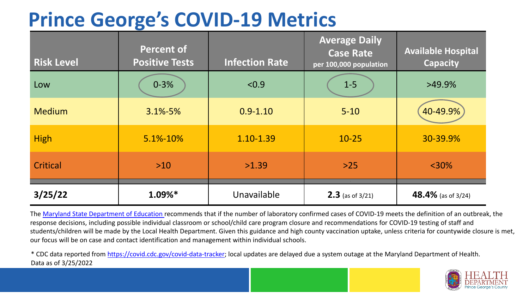## **Prince George's COVID-19 Metrics**

| <b>Risk Level</b> | <b>Percent of</b><br><b>Positive Tests</b> | <b>Infection Rate</b> | <b>Average Daily</b><br><b>Case Rate</b><br>per 100,000 population | <b>Available Hospital</b><br><b>Capacity</b> |
|-------------------|--------------------------------------------|-----------------------|--------------------------------------------------------------------|----------------------------------------------|
| Low               | $0 - 3%$                                   | < 0.9                 | $1 - 5$                                                            | $>49.9\%$                                    |
| <b>Medium</b>     | $3.1\% - 5\%$                              | $0.9 - 1.10$          | $5 - 10$                                                           | 40-49.9%                                     |
| <b>High</b>       | 5.1%-10%                                   | 1.10-1.39             | $10 - 25$                                                          | 30-39.9%                                     |
| Critical          | $>10$                                      | >1.39                 | $>25$                                                              | $<$ 30%                                      |
| 3/25/22           | $1.09\%*$                                  | Unavailable           | <b>2.3</b> (as of $3/21$ )                                         | 48.4% (as of 3/24)                           |

The [Maryland State Department of Education](https://earlychildhood.marylandpublicschools.org/system/files/filedepot/3/covid_guidance_full_080420.pdf) recommends that if the number of laboratory confirmed cases of COVID-19 meets the definition of an outbreak, the response decisions, including possible individual classroom or school/child care program closure and recommendations for COVID-19 testing of staff and students/children will be made by the Local Health Department. Given this guidance and high county vaccination uptake, unless criteria for countywide closure is met, our focus will be on case and contact identification and management within individual schools.

\* CDC data reported from [https://covid.cdc.gov/covid-data-tracker;](https://covid.cdc.gov/covid-data-tracker) local updates are delayed due a system outage at the Maryland Department of Health. Data as of 3/25/2022

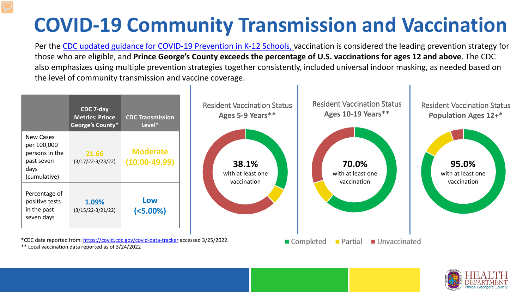## **COVID-19 Community Transmission and Vaccination**

Per the [CDC updated guidance for COVID-19 Prevention in K-12 Schools,](https://www.cdc.gov/coronavirus/2019-ncov/community/schools-childcare/k-12-guidance.html) vaccination is considered the leading prevention strategy for those who are eligible, and **Prince George's County exceeds the percentage of U.S. vaccinations for ages 12 and above**. The CDC also emphasizes using multiple prevention strategies together consistently, included universal indoor masking, as needed based on the level of community transmission and vaccine coverage.



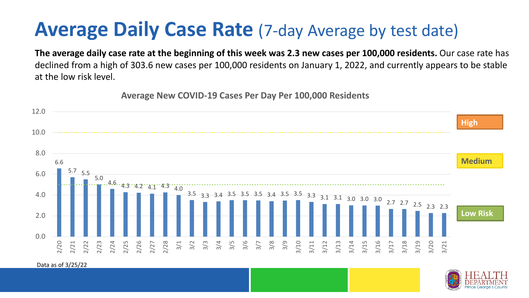## **Average Daily Case Rate** (7-day Average by test date)

**The average daily case rate at the beginning of this week was 2.3 new cases per 100,000 residents.** Our case rate has declined from a high of 303.6 new cases per 100,000 residents on January 1, 2022, and currently appears to be stable at the low risk level.

**Average New COVID-19 Cases Per Day Per 100,000 Residents**